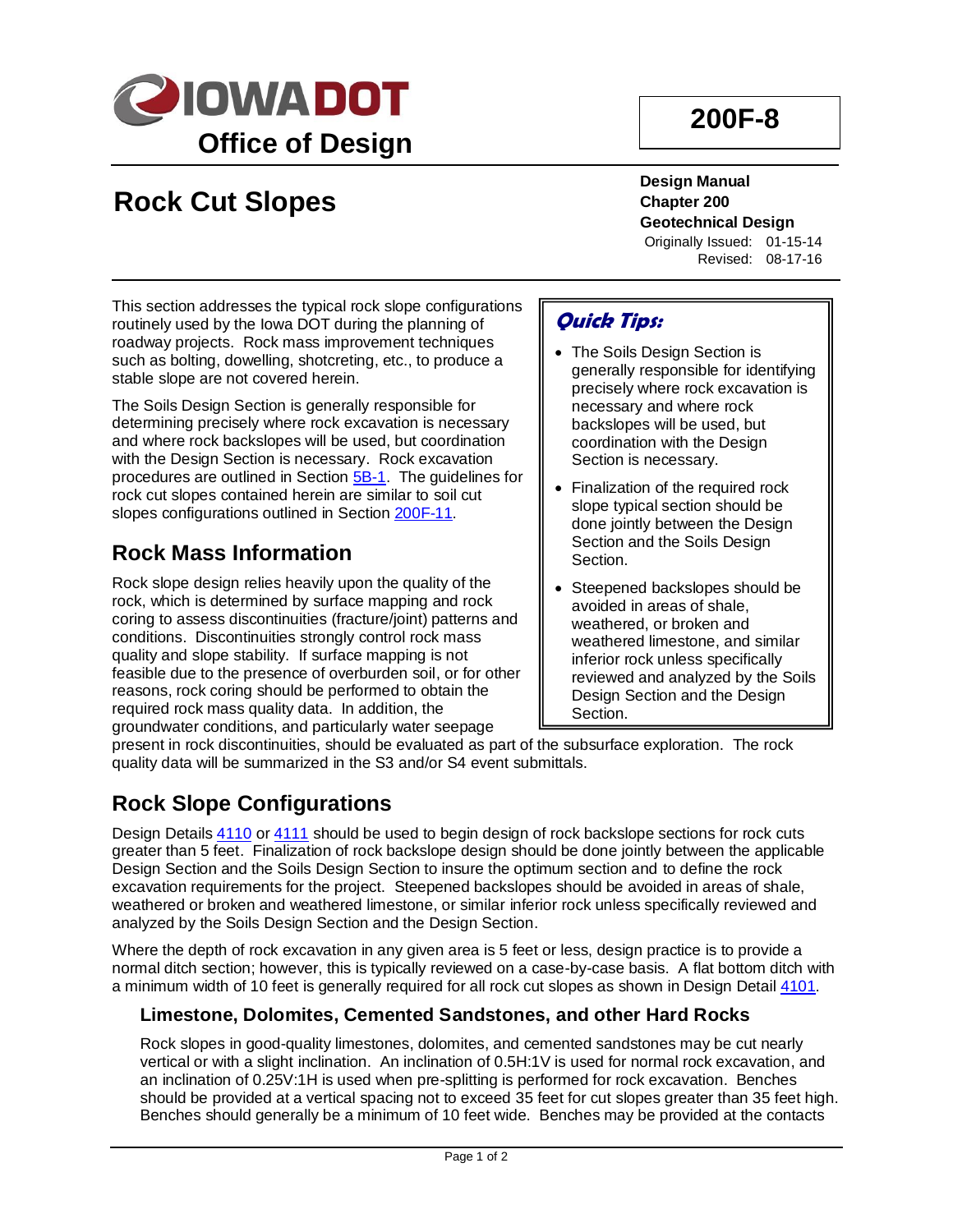

# **200F-8**

# **Rock Cut Slopes**

**Design Manual Chapter 200 Geotechnical Design** Originally Issued: 01-15-14

Revised: 08-17-16

This section addresses the typical rock slope configurations routinely used by the Iowa DOT during the planning of roadway projects. Rock mass improvement techniques such as bolting, dowelling, shotcreting, etc., to produce a stable slope are not covered herein.

The Soils Design Section is generally responsible for determining precisely where rock excavation is necessary and where rock backslopes will be used, but coordination with the Design Section is necessary. Rock excavation procedures are outlined in Section [5B-1.](05B-01.pdf) The guidelines for rock cut slopes contained herein are similar to soil cut slopes configurations outlined in Section [200F-11.](200F-11.pdf)

## **Rock Mass Information**

Rock slope design relies heavily upon the quality of the rock, which is determined by surface mapping and rock coring to assess discontinuities (fracture/joint) patterns and conditions. Discontinuities strongly control rock mass quality and slope stability. If surface mapping is not feasible due to the presence of overburden soil, or for other reasons, rock coring should be performed to obtain the required rock mass quality data. In addition, the groundwater conditions, and particularly water seepage

## **Quick Tips:**

- The Soils Design Section is generally responsible for identifying precisely where rock excavation is necessary and where rock backslopes will be used, but coordination with the Design Section is necessary.
- Finalization of the required rock slope typical section should be done jointly between the Design Section and the Soils Design Section.
- Steepened backslopes should be avoided in areas of shale, weathered, or broken and weathered limestone, and similar inferior rock unless specifically reviewed and analyzed by the Soils Design Section and the Design Section.

present in rock discontinuities, should be evaluated as part of the subsurface exploration. The rock quality data will be summarized in the S3 and/or S4 event submittals.

## **Rock Slope Configurations**

Design Details [4110](../tnt/PDFsandWebFiles/IndividualPDFs/4110.pdf) or [4111](../tnt/PDFsandWebFiles/IndividualPDFs/4111.pdf) should be used to begin design of rock backslope sections for rock cuts greater than 5 feet. Finalization of rock backslope design should be done jointly between the applicable Design Section and the Soils Design Section to insure the optimum section and to define the rock excavation requirements for the project. Steepened backslopes should be avoided in areas of shale, weathered or broken and weathered limestone, or similar inferior rock unless specifically reviewed and analyzed by the Soils Design Section and the Design Section.

Where the depth of rock excavation in any given area is 5 feet or less, design practice is to provide a normal ditch section; however, this is typically reviewed on a case-by-case basis. A flat bottom ditch with a minimum width of 10 feet is generally required for all rock cut slopes as shown in Design Detail [4101.](../tnt/PDFsandWebFiles/IndividualPDFs/4101.pdf)

### **Limestone, Dolomites, Cemented Sandstones, and other Hard Rocks**

Rock slopes in good-quality limestones, dolomites, and cemented sandstones may be cut nearly vertical or with a slight inclination. An inclination of 0.5H:1V is used for normal rock excavation, and an inclination of 0.25V:1H is used when pre-splitting is performed for rock excavation. Benches should be provided at a vertical spacing not to exceed 35 feet for cut slopes greater than 35 feet high. Benches should generally be a minimum of 10 feet wide. Benches may be provided at the contacts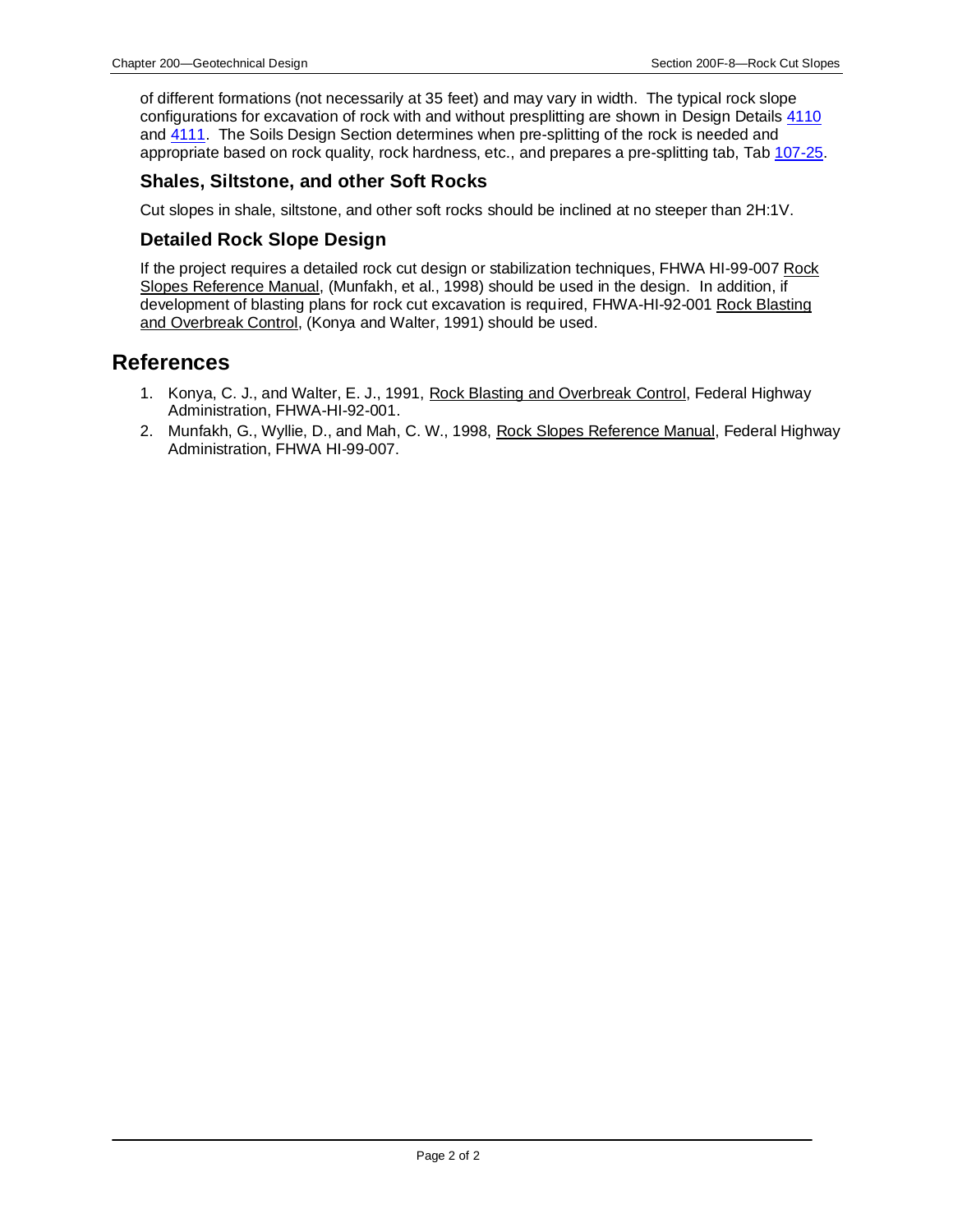of different formations (not necessarily at 35 feet) and may vary in width. The typical rock slope configurations for excavation of rock with and without presplitting are shown in Design Details [4110](../tnt/PDFsandWebFiles/IndividualPDFs/4110.pdf) and [4111.](../tnt/PDFsandWebFiles/IndividualPDFs/4111.pdf) The Soils Design Section determines when pre-splitting of the rock is needed and appropriate based on rock quality, rock hardness, etc., and prepares a pre-splitting tab, Tab [107-25.](../tnt/PDFsandWebFiles/IndividualPDFs/0107-25.PDF)

#### **Shales, Siltstone, and other Soft Rocks**

Cut slopes in shale, siltstone, and other soft rocks should be inclined at no steeper than 2H:1V.

#### **Detailed Rock Slope Design**

If the project requires a detailed rock cut design or stabilization techniques, FHWA HI-99-007 Rock Slopes Reference Manual, (Munfakh, et al., 1998) should be used in the design. In addition, if development of blasting plans for rock cut excavation is required, FHWA-HI-92-001 Rock Blasting and Overbreak Control, (Konya and Walter, 1991) should be used.

#### **References**

- 1. Konya, C. J., and Walter, E. J., 1991, Rock Blasting and Overbreak Control, Federal Highway Administration, FHWA-HI-92-001.
- 2. Munfakh, G., Wyllie, D., and Mah, C. W., 1998, Rock Slopes Reference Manual, Federal Highway Administration, FHWA HI-99-007.